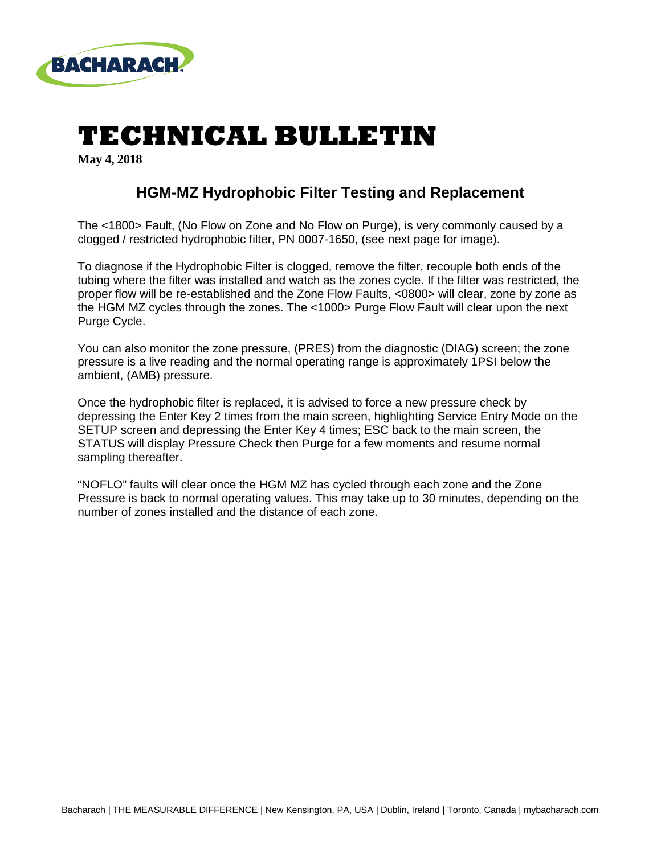

## **TECHNICAL BULLETIN**

**May 4, 2018**

#### **HGM-MZ Hydrophobic Filter Testing and Replacement**

The <1800> Fault, (No Flow on Zone and No Flow on Purge), is very commonly caused by a clogged / restricted hydrophobic filter, PN 0007-1650, (see next page for image).

To diagnose if the Hydrophobic Filter is clogged, remove the filter, recouple both ends of the tubing where the filter was installed and watch as the zones cycle. If the filter was restricted, the proper flow will be re-established and the Zone Flow Faults, <0800> will clear, zone by zone as the HGM MZ cycles through the zones. The <1000> Purge Flow Fault will clear upon the next Purge Cycle.

You can also monitor the zone pressure, (PRES) from the diagnostic (DIAG) screen; the zone pressure is a live reading and the normal operating range is approximately 1PSI below the ambient, (AMB) pressure.

Once the hydrophobic filter is replaced, it is advised to force a new pressure check by depressing the Enter Key 2 times from the main screen, highlighting Service Entry Mode on the SETUP screen and depressing the Enter Key 4 times; ESC back to the main screen, the STATUS will display Pressure Check then Purge for a few moments and resume normal sampling thereafter.

"NOFLO" faults will clear once the HGM MZ has cycled through each zone and the Zone Pressure is back to normal operating values. This may take up to 30 minutes, depending on the number of zones installed and the distance of each zone.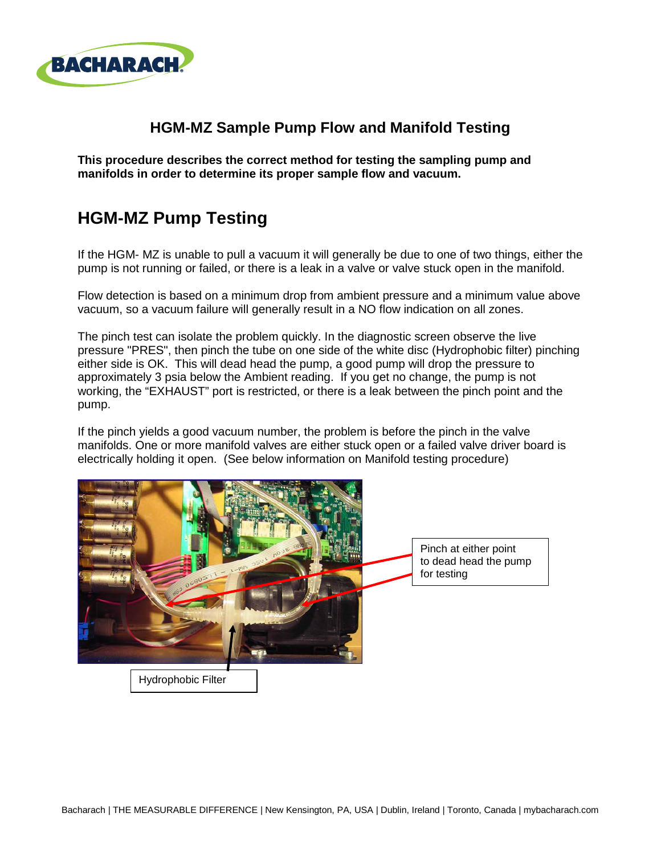

#### **HGM-MZ Sample Pump Flow and Manifold Testing**

**This procedure describes the correct method for testing the sampling pump and manifolds in order to determine its proper sample flow and vacuum.**

### **HGM-MZ Pump Testing**

If the HGM- MZ is unable to pull a vacuum it will generally be due to one of two things, either the pump is not running or failed, or there is a leak in a valve or valve stuck open in the manifold.

Flow detection is based on a minimum drop from ambient pressure and a minimum value above vacuum, so a vacuum failure will generally result in a NO flow indication on all zones.

The pinch test can isolate the problem quickly. In the diagnostic screen observe the live pressure "PRES", then pinch the tube on one side of the white disc (Hydrophobic filter) pinching either side is OK. This will dead head the pump, a good pump will drop the pressure to approximately 3 psia below the Ambient reading. If you get no change, the pump is not working, the "EXHAUST" port is restricted, or there is a leak between the pinch point and the pump.

If the pinch yields a good vacuum number, the problem is before the pinch in the valve manifolds. One or more manifold valves are either stuck open or a failed valve driver board is electrically holding it open. (See below information on Manifold testing procedure)

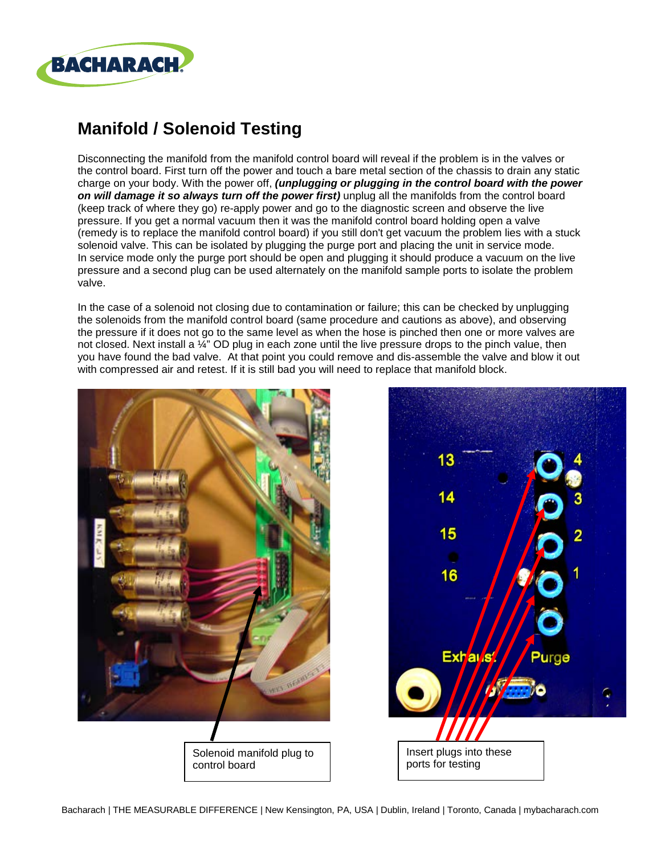

## **Manifold / Solenoid Testing**

Disconnecting the manifold from the manifold control board will reveal if the problem is in the valves or the control board. First turn off the power and touch a bare metal section of the chassis to drain any static charge on your body. With the power off, *(unplugging or plugging in the control board with the power*  **on will damage it so always turn off the power first)** unplug all the manifolds from the control board (keep track of where they go) re-apply power and go to the diagnostic screen and observe the live pressure. If you get a normal vacuum then it was the manifold control board holding open a valve (remedy is to replace the manifold control board) if you still don't get vacuum the problem lies with a stuck solenoid valve. This can be isolated by plugging the purge port and placing the unit in service mode. In service mode only the purge port should be open and plugging it should produce a vacuum on the live pressure and a second plug can be used alternately on the manifold sample ports to isolate the problem valve.

In the case of a solenoid not closing due to contamination or failure; this can be checked by unplugging the solenoids from the manifold control board (same procedure and cautions as above), and observing the pressure if it does not go to the same level as when the hose is pinched then one or more valves are not closed. Next install a ¼" OD plug in each zone until the live pressure drops to the pinch value, then you have found the bad valve. At that point you could remove and dis-assemble the valve and blow it out with compressed air and retest. If it is still bad you will need to replace that manifold block.